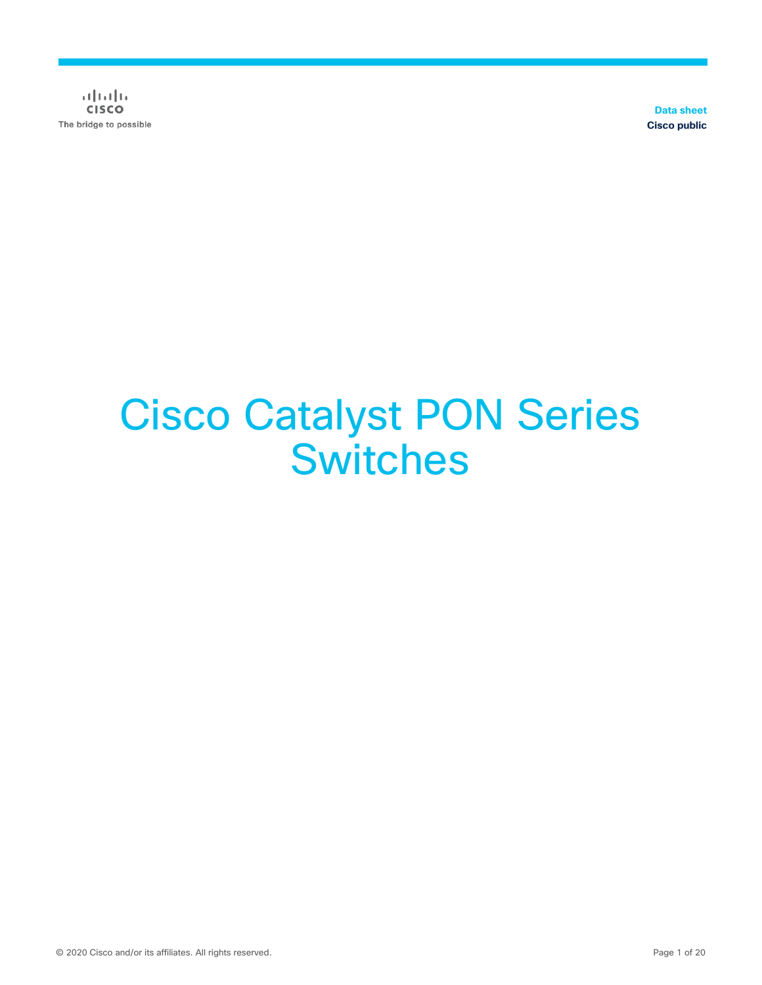$\frac{1}{2}$  and  $\frac{1}{2}$ **CISCO** The bridge to possible

**Data sheet Cisco public**

# Cisco Catalyst PON Series **Switches**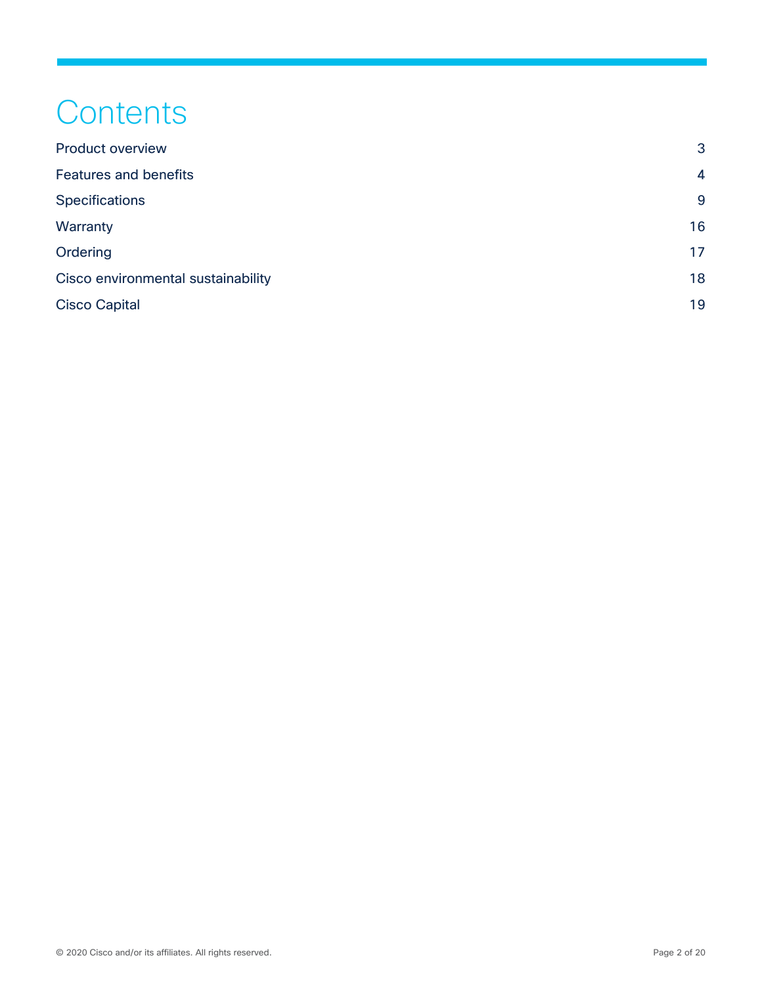## **Contents**

| <b>Product overview</b>            | 3  |
|------------------------------------|----|
| <b>Features and benefits</b>       | 4  |
| <b>Specifications</b>              | 9  |
| Warranty                           | 16 |
| Ordering                           | 17 |
| Cisco environmental sustainability | 18 |
| <b>Cisco Capital</b>               | 19 |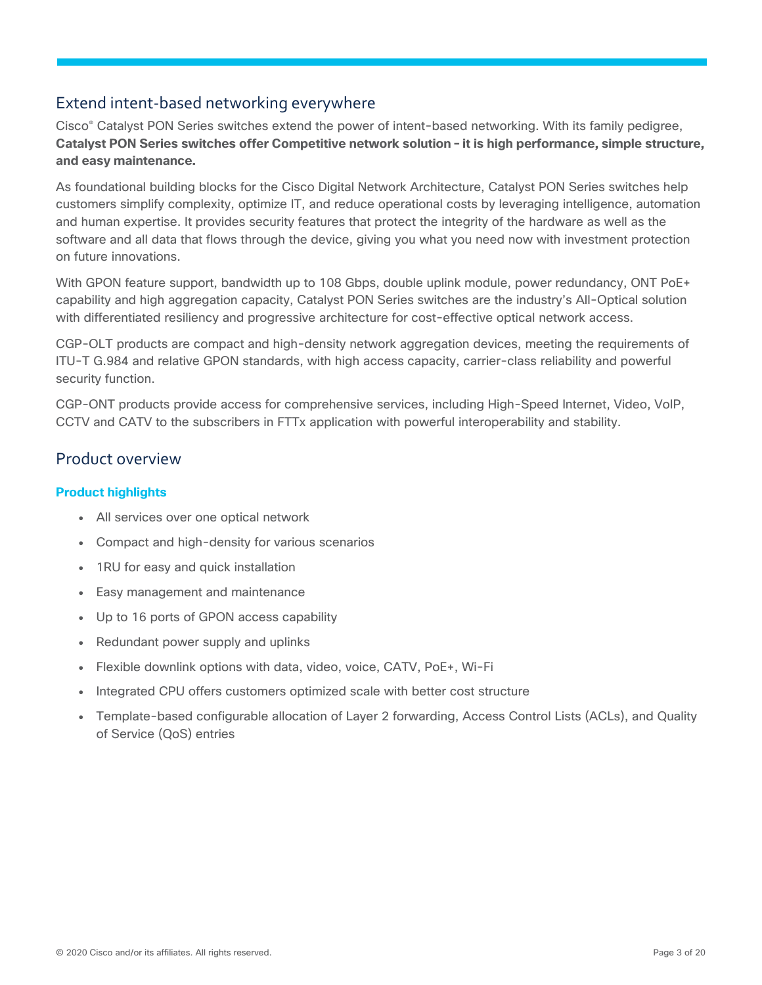## Extend intent-based networking everywhere

Cisco® Catalyst PON Series switches extend the power of intent-based networking. With its family pedigree, **Catalyst PON Series switches offer Competitive network solution – it is high performance, simple structure, and easy maintenance.**

As foundational building blocks for the Cisco Digital Network Architecture, Catalyst PON Series switches help customers simplify complexity, optimize IT, and reduce operational costs by leveraging intelligence, automation and human expertise. It provides security features that protect the integrity of the hardware as well as the software and all data that flows through the device, giving you what you need now with investment protection on future innovations.

With GPON feature support, bandwidth up to 108 Gbps, double uplink module, power redundancy, ONT PoE+ capability and high aggregation capacity, Catalyst PON Series switches are the industry's All-Optical solution with differentiated resiliency and progressive architecture for cost-effective optical network access.

CGP-OLT products are compact and high-density network aggregation devices, meeting the requirements of ITU-T G.984 and relative GPON standards, with high access capacity, carrier-class reliability and powerful security function.

CGP-ONT products provide access for comprehensive services, including High-Speed Internet, Video, VoIP, CCTV and CATV to the subscribers in FTTx application with powerful interoperability and stability.

#### <span id="page-2-0"></span>Product overview

#### **Product highlights**

- All services over one optical network
- Compact and high-density for various scenarios
- 1RU for easy and quick installation
- Easy management and maintenance
- Up to 16 ports of GPON access capability
- Redundant power supply and uplinks
- Flexible downlink options with data, video, voice, CATV, PoE+, Wi-Fi
- Integrated CPU offers customers optimized scale with better cost structure
- Template-based configurable allocation of Layer 2 forwarding, Access Control Lists (ACLs), and Quality of Service (QoS) entries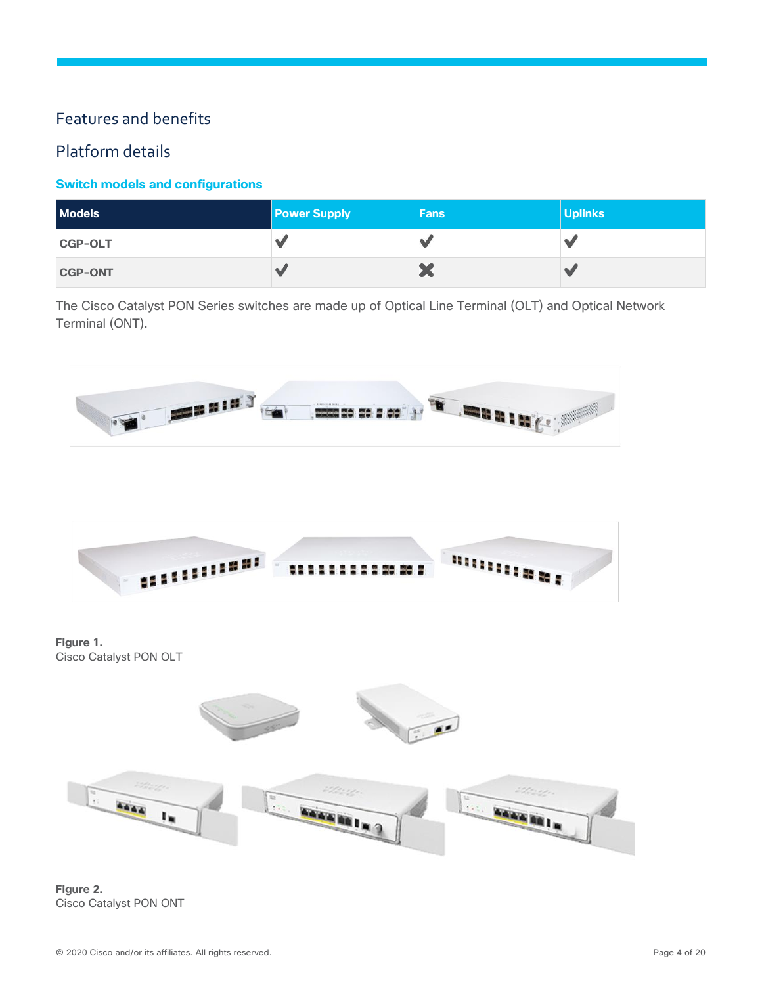## <span id="page-3-0"></span>Features and benefits

## Platform details

#### **Switch models and configurations**

| <b>Models</b>  | <b>Power Supply</b> | <b>Fans</b> | <b>Uplinks</b> |
|----------------|---------------------|-------------|----------------|
| <b>CGP-OLT</b> | $\alpha$            |             |                |
| <b>CGP-ONT</b> | A                   | œ           |                |

The Cisco Catalyst PON Series switches are made up of Optical Line Terminal (OLT) and Optical Network Terminal (ONT).



**Figure 1.**  Cisco Catalyst PON OLT



**Figure 2.**  Cisco Catalyst PON ONT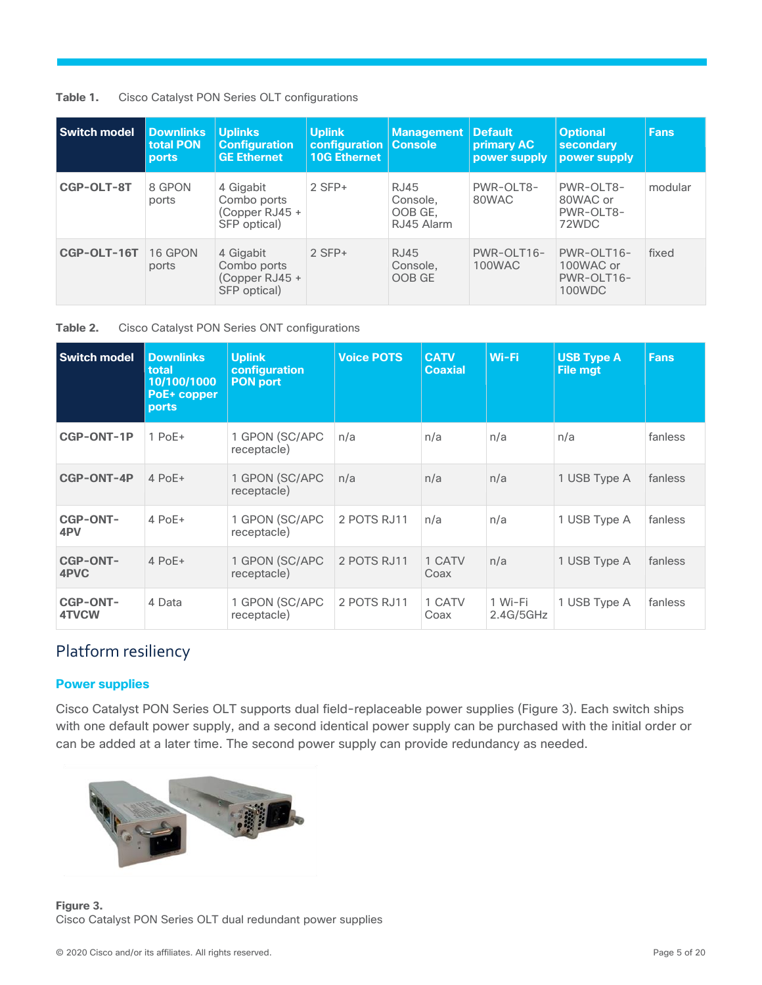| Table 1. |  |  | Cisco Catalyst PON Series OLT configurations |
|----------|--|--|----------------------------------------------|
|          |  |  |                                              |

| <b>Switch model</b> | <b>Downlinks</b><br>total PON<br><b>ports</b> | <b>Uplinks</b><br><b>Configuration</b><br><b>GE Ethernet</b> | <b>Uplink</b><br>configuration<br><b>10G Ethernet</b> | <b>Management</b><br><b>Console</b>       | <b>Default</b><br>primary AC<br>power supply | <b>Optional</b><br>secondary<br>power supply    | <b>Fans</b> |
|---------------------|-----------------------------------------------|--------------------------------------------------------------|-------------------------------------------------------|-------------------------------------------|----------------------------------------------|-------------------------------------------------|-------------|
| CGP-OLT-8T          | 8 GPON<br>ports                               | 4 Gigabit<br>Combo ports<br>(Copper RJ45 +<br>SFP optical)   | $2$ SFP+                                              | RJ45<br>Console.<br>OOB GE,<br>RJ45 Alarm | PWR-OLT8-<br>80WAC                           | PWR-OLT8-<br>80WAC or<br>PWR-OLT8-<br>72WDC     | modular     |
| CGP-OLT-16T         | 16 GPON<br>ports                              | 4 Gigabit<br>Combo ports<br>(Copper RJ45 +<br>SFP optical)   | $2$ SFP+                                              | <b>RJ45</b><br>Console.<br>OOB GE         | PWR-OLT16-<br>100WAC                         | PWR-OLT16-<br>100WAC or<br>PWR-OLT16-<br>100WDC | fixed       |

#### **Table 2.** Cisco Catalyst PON Series ONT configurations

| <b>Switch model</b>             | <b>Downlinks</b><br>total<br>10/100/1000<br>PoE+ copper<br>ports | <b>Uplink</b><br>configuration<br><b>PON port</b> | <b>Voice POTS</b> | <b>CATV</b><br><b>Coaxial</b> | Wi-Fi                | <b>USB Type A</b><br><b>File mgt</b> | <b>Fans</b> |
|---------------------------------|------------------------------------------------------------------|---------------------------------------------------|-------------------|-------------------------------|----------------------|--------------------------------------|-------------|
| <b>CGP-ONT-1P</b>               | $1$ PoE $+$                                                      | 1 GPON (SC/APC<br>receptacle)                     | n/a               | n/a                           | n/a                  | n/a                                  | fanless     |
| CGP-ONT-4P                      | $4$ PoE+                                                         | 1 GPON (SC/APC<br>receptacle)                     | n/a               | n/a                           | n/a                  | 1 USB Type A                         | fanless     |
| <b>CGP-ONT-</b><br>4PV          | $4$ PoE+                                                         | 1 GPON (SC/APC<br>receptacle)                     | 2 POTS RJ11       | n/a                           | n/a                  | 1 USB Type A                         | fanless     |
| <b>CGP-ONT-</b><br>4PVC         | $4$ PoE+                                                         | 1 GPON (SC/APC<br>receptacle)                     | 2 POTS RJ11       | 1 CATV<br>Coax                | n/a                  | 1 USB Type A                         | fanless     |
| <b>CGP-ONT-</b><br><b>4TVCW</b> | 4 Data                                                           | 1 GPON (SC/APC<br>receptacle)                     | 2 POTS RJ11       | 1 CATV<br>Coax                | 1 Wi-Fi<br>2.4G/5GHz | 1 USB Type A                         | fanless     |

## Platform resiliency

#### **Power supplies**

Cisco Catalyst PON Series OLT supports dual field-replaceable power supplies (Figure 3). Each switch ships with one default power supply, and a second identical power supply can be purchased with the initial order or can be added at a later time. The second power supply can provide redundancy as needed.



**Figure 3.**  Cisco Catalyst PON Series OLT dual redundant power supplies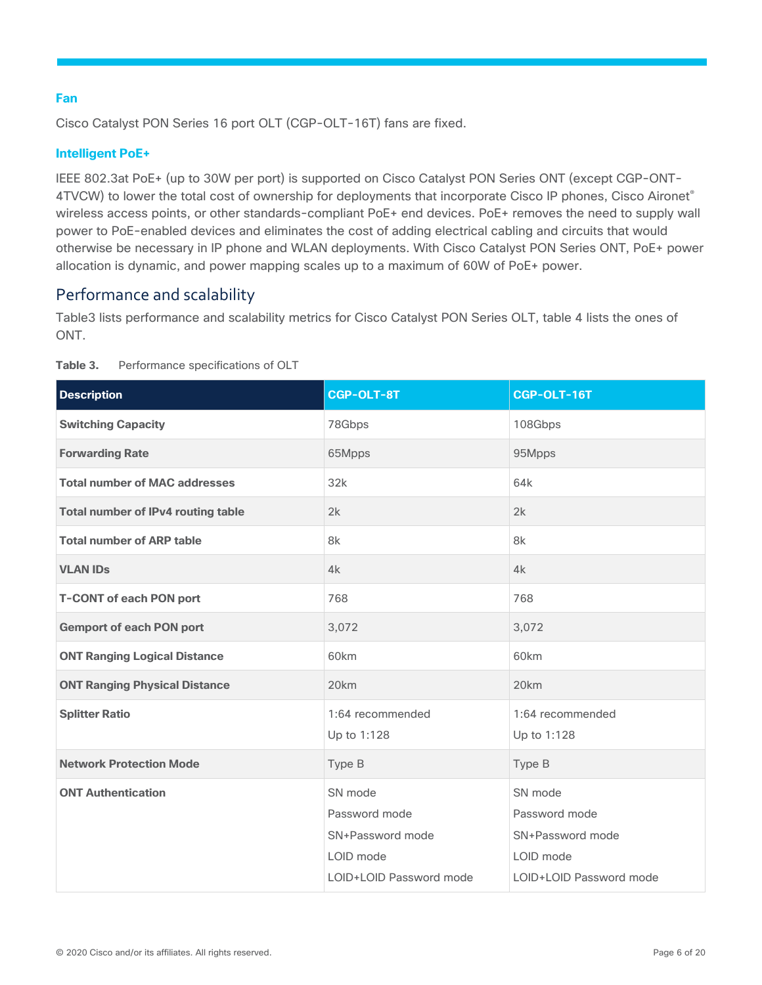#### **Fan**

Cisco Catalyst PON Series 16 port OLT (CGP-OLT-16T) fans are fixed.

#### **Intelligent PoE+**

IEEE 802.3at PoE+ (up to 30W per port) is supported on Cisco Catalyst PON Series ONT (except CGP-ONT-4TVCW) to lower the total cost of ownership for deployments that incorporate Cisco IP phones, Cisco Aironet® wireless access points, or other standards-compliant PoE+ end devices. PoE+ removes the need to supply wall power to PoE-enabled devices and eliminates the cost of adding electrical cabling and circuits that would otherwise be necessary in IP phone and WLAN deployments. With Cisco Catalyst PON Series ONT, PoE+ power allocation is dynamic, and power mapping scales up to a maximum of 60W of PoE+ power.

## Performance and scalability

Table3 lists performance and scalability metrics for Cisco Catalyst PON Series OLT, table 4 lists the ones of ONT.

| <b>Description</b>                        | <b>CGP-OLT-8T</b>                                                                    | CGP-OLT-16T                                                                          |
|-------------------------------------------|--------------------------------------------------------------------------------------|--------------------------------------------------------------------------------------|
| <b>Switching Capacity</b>                 | 78Gbps                                                                               | 108Gbps                                                                              |
| <b>Forwarding Rate</b>                    | 65Mpps                                                                               | 95Mpps                                                                               |
| <b>Total number of MAC addresses</b>      | 32k                                                                                  | 64k                                                                                  |
| <b>Total number of IPv4 routing table</b> | 2k                                                                                   | 2k                                                                                   |
| <b>Total number of ARP table</b>          | 8k                                                                                   | 8k                                                                                   |
| <b>VLAN IDS</b>                           | 4k                                                                                   | 4k                                                                                   |
| <b>T-CONT of each PON port</b>            | 768                                                                                  | 768                                                                                  |
| <b>Gemport of each PON port</b>           | 3,072                                                                                | 3,072                                                                                |
| <b>ONT Ranging Logical Distance</b>       | 60km                                                                                 | 60km                                                                                 |
| <b>ONT Ranging Physical Distance</b>      | 20km                                                                                 | 20km                                                                                 |
| <b>Splitter Ratio</b>                     | 1:64 recommended<br>Up to 1:128                                                      | 1:64 recommended<br>Up to 1:128                                                      |
| <b>Network Protection Mode</b>            | Type B                                                                               | Type B                                                                               |
| <b>ONT Authentication</b>                 | SN mode<br>Password mode<br>SN+Password mode<br>LOID mode<br>LOID+LOID Password mode | SN mode<br>Password mode<br>SN+Password mode<br>LOID mode<br>LOID+LOID Password mode |

#### **Table 3.** Performance specifications of OLT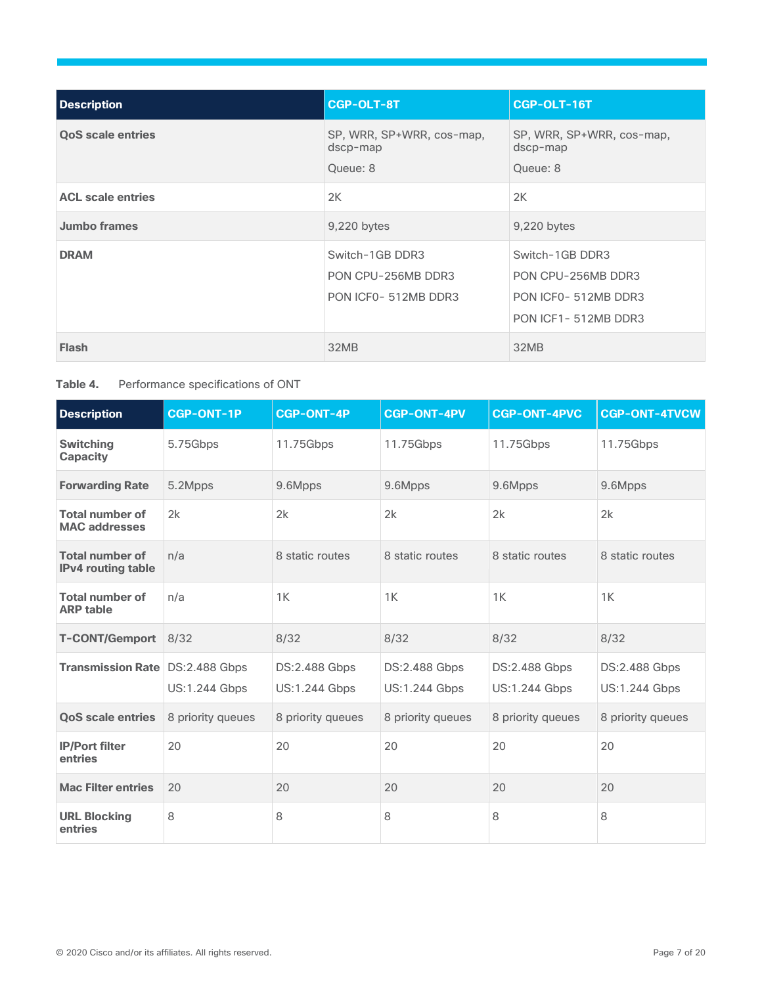| <b>Description</b>       | <b>CGP-OLT-8T</b>                                            | CGP-OLT-16T                                                                         |
|--------------------------|--------------------------------------------------------------|-------------------------------------------------------------------------------------|
| <b>QoS scale entries</b> | SP, WRR, SP+WRR, cos-map,<br>dscp-map<br>Queue: 8            | SP, WRR, SP+WRR, cos-map,<br>dscp-map<br>Queue: 8                                   |
| <b>ACL scale entries</b> | 2K                                                           | 2K                                                                                  |
| <b>Jumbo frames</b>      | 9,220 bytes                                                  | 9,220 bytes                                                                         |
| <b>DRAM</b>              | Switch-1GB DDR3<br>PON CPU-256MB DDR3<br>PON ICF0-512MB DDR3 | Switch-1GB DDR3<br>PON CPU-256MB DDR3<br>PON ICF0-512MB DDR3<br>PON ICF1-512MB DDR3 |
| <b>Flash</b>             | 32MB                                                         | 32MB                                                                                |

#### Table 4. Performance specifications of ONT

| <b>Description</b>                                  | <b>CGP-ONT-1P</b>    | <b>CGP-ONT-4P</b>                     | <b>CGP-ONT-4PV</b>                    | <b>CGP-ONT-4PVC</b>                   | <b>CGP-ONT-4TVCW</b>                  |
|-----------------------------------------------------|----------------------|---------------------------------------|---------------------------------------|---------------------------------------|---------------------------------------|
| <b>Switching</b><br><b>Capacity</b>                 | 5.75Gbps             | 11.75Gbps                             | 11.75Gbps                             | 11.75Gbps                             | 11.75Gbps                             |
| <b>Forwarding Rate</b>                              | 5.2Mpps              | 9.6Mpps                               | 9.6Mpps                               | 9.6Mpps                               | 9.6Mpps                               |
| <b>Total number of</b><br><b>MAC addresses</b>      | 2k                   | 2k                                    | 2k                                    | 2k                                    | 2k                                    |
| <b>Total number of</b><br><b>IPv4 routing table</b> | n/a                  | 8 static routes                       | 8 static routes                       | 8 static routes                       | 8 static routes                       |
| <b>Total number of</b><br><b>ARP table</b>          | n/a                  | 1K                                    | 1K                                    | 1K                                    | 1K                                    |
| <b>T-CONT/Gemport</b>                               | 8/32                 | 8/32                                  | 8/32                                  | 8/32                                  | 8/32                                  |
| Transmission Rate DS:2.488 Gbps                     | <b>US:1.244 Gbps</b> | DS:2.488 Gbps<br><b>US:1.244 Gbps</b> | DS:2.488 Gbps<br><b>US:1.244 Gbps</b> | DS:2.488 Gbps<br><b>US:1.244 Gbps</b> | DS:2.488 Gbps<br><b>US:1.244 Gbps</b> |
| <b>QoS scale entries</b>                            | 8 priority queues    | 8 priority queues                     | 8 priority queues                     | 8 priority queues                     | 8 priority queues                     |
| <b>IP/Port filter</b><br>entries                    | 20                   | 20                                    | 20                                    | 20                                    | 20                                    |
| <b>Mac Filter entries</b>                           | 20                   | 20                                    | 20                                    | 20                                    | 20                                    |
| <b>URL Blocking</b><br>entries                      | 8                    | 8                                     | 8                                     | 8                                     | 8                                     |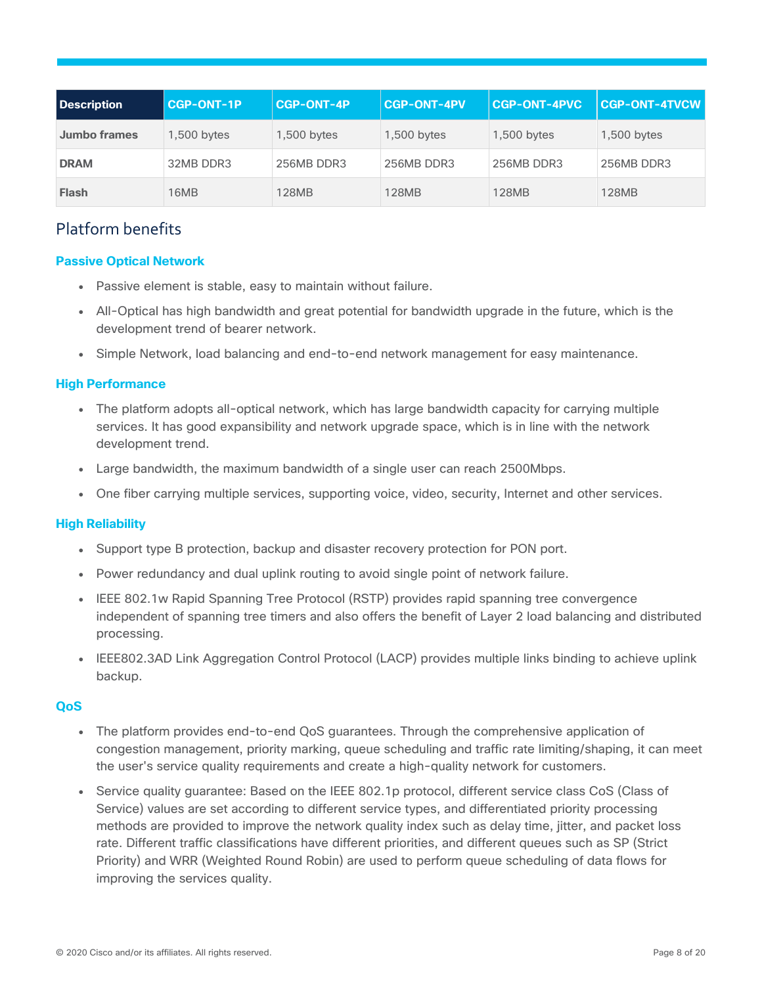| Description         | <b>CGP-ONT-1P</b> | <b>CGP-ONT-4P</b> | <b>CGP-ONT-4PV</b> | <b>CGP-ONT-4PVC</b> | <b>CGP-ONT-4TVCW</b> |
|---------------------|-------------------|-------------------|--------------------|---------------------|----------------------|
| <b>Jumbo frames</b> | 1,500 bytes       | 1,500 bytes       | $1,500$ bytes      | 1,500 bytes         | 1,500 bytes          |
| <b>DRAM</b>         | 32MB DDR3         | 256MB DDR3        | 256MB DDR3         | 256MB DDR3          | 256MB DDR3           |
| <b>Flash</b>        | 16MB              | 128MB             | 128MB              | <b>128MB</b>        | 128MB                |

## Platform benefits

#### **Passive Optical Network**

- Passive element is stable, easy to maintain without failure.
- All-Optical has high bandwidth and great potential for bandwidth upgrade in the future, which is the development trend of bearer network.
- Simple Network, load balancing and end-to-end network management for easy maintenance.

#### **High Performance**

- The platform adopts all-optical network, which has large bandwidth capacity for carrying multiple services. It has good expansibility and network upgrade space, which is in line with the network development trend.
- Large bandwidth, the maximum bandwidth of a single user can reach 2500Mbps.
- One fiber carrying multiple services, supporting voice, video, security, Internet and other services.

#### **High Reliability**

- Support type B protection, backup and disaster recovery protection for PON port.
- Power redundancy and dual uplink routing to avoid single point of network failure.
- IEEE 802.1w Rapid Spanning Tree Protocol (RSTP) provides rapid spanning tree convergence independent of spanning tree timers and also offers the benefit of Layer 2 load balancing and distributed processing.
- IEEE802.3AD Link Aggregation Control Protocol (LACP) provides multiple links binding to achieve uplink backup.

#### **QoS**

- The platform provides end-to-end QoS guarantees. Through the comprehensive application of congestion management, priority marking, queue scheduling and traffic rate limiting/shaping, it can meet the user's service quality requirements and create a high-quality network for customers.
- Service quality guarantee: Based on the IEEE 802.1p protocol, different service class CoS (Class of Service) values are set according to different service types, and differentiated priority processing methods are provided to improve the network quality index such as delay time, jitter, and packet loss rate. Different traffic classifications have different priorities, and different queues such as SP (Strict Priority) and WRR (Weighted Round Robin) are used to perform queue scheduling of data flows for improving the services quality.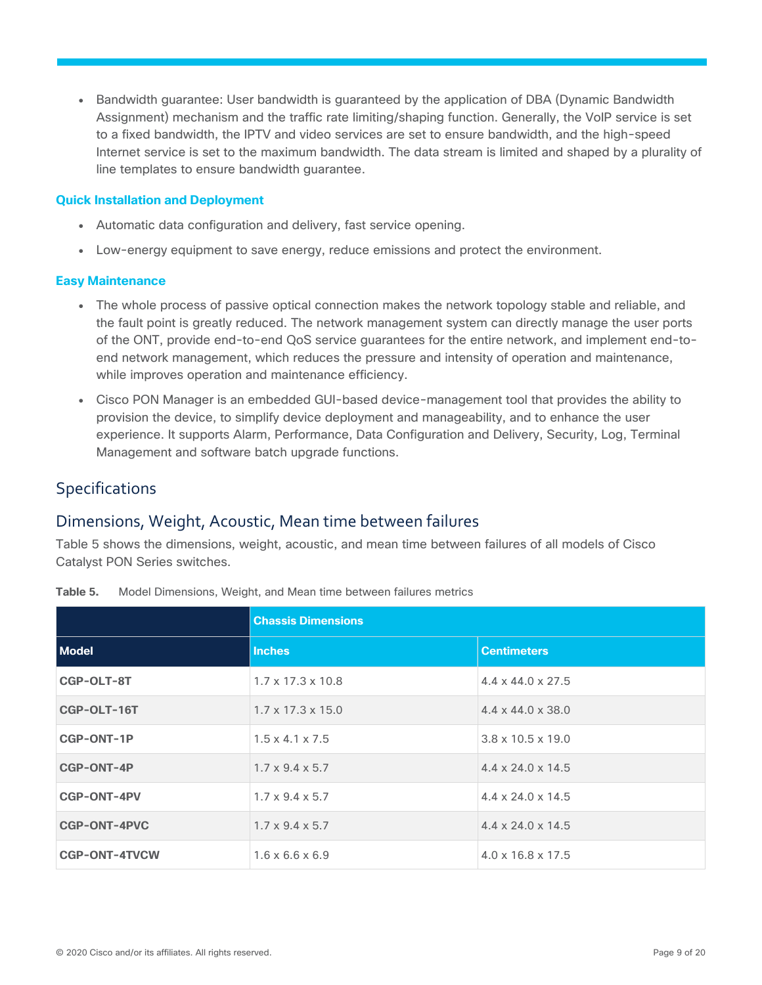• Bandwidth guarantee: User bandwidth is guaranteed by the application of DBA (Dynamic Bandwidth Assignment) mechanism and the traffic rate limiting/shaping function. Generally, the VoIP service is set to a fixed bandwidth, the IPTV and video services are set to ensure bandwidth, and the high-speed Internet service is set to the maximum bandwidth. The data stream is limited and shaped by a plurality of line templates to ensure bandwidth guarantee.

#### **Quick Installation and Deployment**

- Automatic data configuration and delivery, fast service opening.
- Low-energy equipment to save energy, reduce emissions and protect the environment.

#### **Easy Maintenance**

- The whole process of passive optical connection makes the network topology stable and reliable, and the fault point is greatly reduced. The network management system can directly manage the user ports of the ONT, provide end-to-end QoS service guarantees for the entire network, and implement end-toend network management, which reduces the pressure and intensity of operation and maintenance, while improves operation and maintenance efficiency.
- Cisco PON Manager is an embedded GUI-based device-management tool that provides the ability to provision the device, to simplify device deployment and manageability, and to enhance the user experience. It supports Alarm, Performance, Data Configuration and Delivery, Security, Log, Terminal Management and software batch upgrade functions.

## <span id="page-8-0"></span>Specifications

#### Dimensions, Weight, Acoustic, Mean time between failures

Table 5 shows the dimensions, weight, acoustic, and mean time between failures of all models of Cisco Catalyst PON Series switches.

|                      | <b>Chassis Dimensions</b>     |                               |  |
|----------------------|-------------------------------|-------------------------------|--|
| <b>Model</b>         | <b>Inches</b>                 | <b>Centimeters</b>            |  |
| CGP-OLT-8T           | $1.7 \times 17.3 \times 10.8$ | $4.4 \times 44.0 \times 27.5$ |  |
| CGP-OLT-16T          | $1.7 \times 17.3 \times 15.0$ | $4.4 \times 44.0 \times 38.0$ |  |
| CGP-ONT-1P           | $1.5 \times 4.1 \times 7.5$   | $3.8 \times 10.5 \times 19.0$ |  |
| <b>CGP-ONT-4P</b>    | $1.7 \times 9.4 \times 5.7$   | $4.4 \times 24.0 \times 14.5$ |  |
| <b>CGP-ONT-4PV</b>   | $1.7 \times 9.4 \times 5.7$   | $4.4 \times 24.0 \times 14.5$ |  |
| <b>CGP-ONT-4PVC</b>  | $1.7 \times 9.4 \times 5.7$   | $4.4 \times 24.0 \times 14.5$ |  |
| <b>CGP-ONT-4TVCW</b> | $1.6 \times 6.6 \times 6.9$   | $4.0 \times 16.8 \times 17.5$ |  |

**Table 5.** Model Dimensions, Weight, and Mean time between failures metrics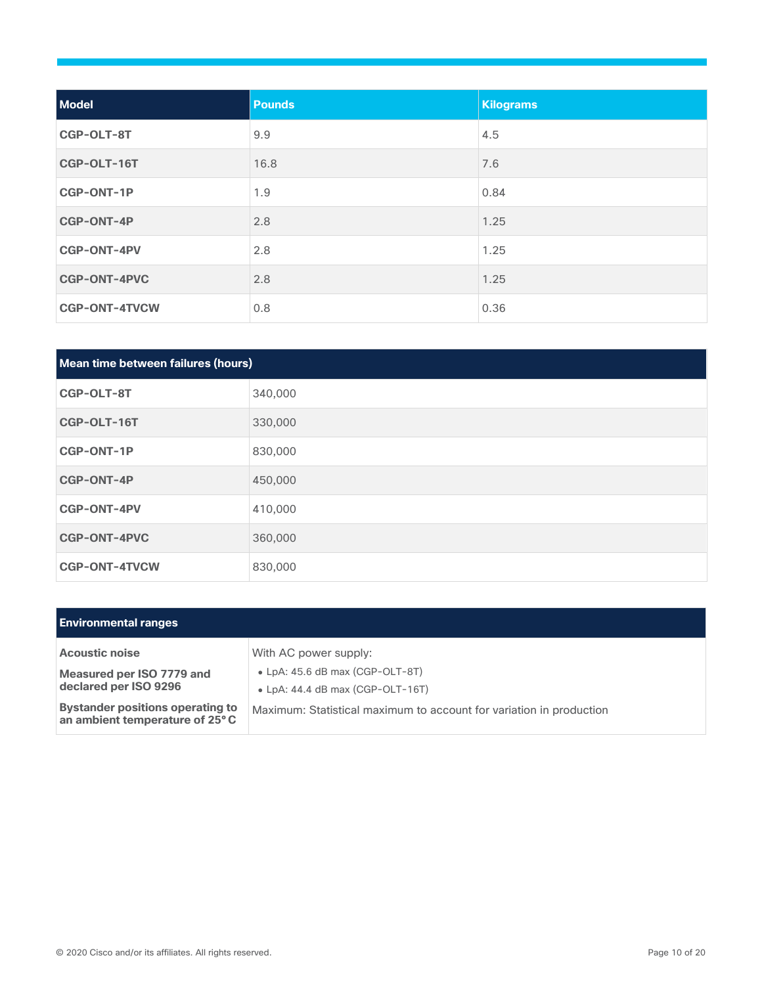| <b>Model</b>         | <b>Pounds</b> | <b>Kilograms</b> |
|----------------------|---------------|------------------|
| CGP-OLT-8T           | 9.9           | 4.5              |
| CGP-OLT-16T          | 16.8          | 7.6              |
| <b>CGP-ONT-1P</b>    | 1.9           | 0.84             |
| CGP-ONT-4P           | 2.8           | 1.25             |
| <b>CGP-ONT-4PV</b>   | 2.8           | 1.25             |
| <b>CGP-ONT-4PVC</b>  | 2.8           | 1.25             |
| <b>CGP-ONT-4TVCW</b> | 0.8           | 0.36             |

| Mean time between failures (hours) |         |  |
|------------------------------------|---------|--|
| CGP-OLT-8T                         | 340,000 |  |
| CGP-OLT-16T                        | 330,000 |  |
| <b>CGP-ONT-1P</b>                  | 830,000 |  |
| <b>CGP-ONT-4P</b>                  | 450,000 |  |
| <b>CGP-ONT-4PV</b>                 | 410,000 |  |
| <b>CGP-ONT-4PVC</b>                | 360,000 |  |
| <b>CGP-ONT-4TVCW</b>               | 830,000 |  |

| <b>Environmental ranges</b>                                               |                                                                                     |
|---------------------------------------------------------------------------|-------------------------------------------------------------------------------------|
| <b>Acoustic noise</b>                                                     | With AC power supply:                                                               |
| Measured per ISO 7779 and<br>declared per ISO 9296                        | $\bullet$ LpA: 45.6 dB max (CGP-OLT-8T)<br>$\bullet$ LpA: 44.4 dB max (CGP-OLT-16T) |
| <b>Bystander positions operating to</b><br>an ambient temperature of 25°C | Maximum: Statistical maximum to account for variation in production                 |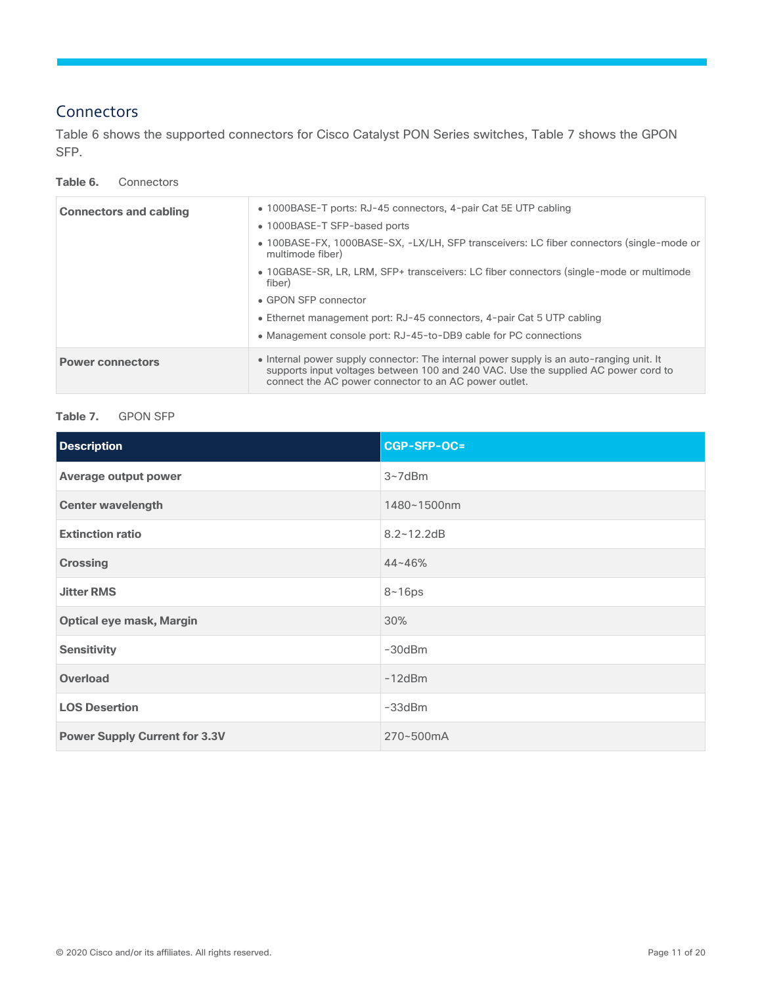## **Connectors**

Table 6 shows the supported connectors for Cisco Catalyst PON Series switches, Table 7 shows the GPON SFP.

#### **Table 6.** Connectors

| <b>Connectors and cabling</b> | • 1000BASE-T ports: RJ-45 connectors, 4-pair Cat 5E UTP cabling<br>• 1000BASE-T SFP-based ports<br>• 100BASE-FX, 1000BASE-SX, -LX/LH, SFP transceivers: LC fiber connectors (single-mode or<br>multimode fiber)<br>• 10GBASE-SR, LR, LRM, SFP+ transceivers: LC fiber connectors (single-mode or multimode<br>fiber)<br>• GPON SFP connector |
|-------------------------------|----------------------------------------------------------------------------------------------------------------------------------------------------------------------------------------------------------------------------------------------------------------------------------------------------------------------------------------------|
|                               | • Ethernet management port: RJ-45 connectors, 4-pair Cat 5 UTP cabling<br>• Management console port: RJ-45-to-DB9 cable for PC connections                                                                                                                                                                                                   |
| <b>Power connectors</b>       | • Internal power supply connector: The internal power supply is an auto-ranging unit. It<br>supports input voltages between 100 and 240 VAC. Use the supplied AC power cord to<br>connect the AC power connector to an AC power outlet.                                                                                                      |

#### **Table 7.** GPON SFP

| <b>Description</b>                   | CGP-SFP-OC=    |
|--------------------------------------|----------------|
| <b>Average output power</b>          | $3 - 7d$ Bm    |
| <b>Center wavelength</b>             | 1480~1500nm    |
| <b>Extinction ratio</b>              | $8.2 - 12.2dB$ |
| <b>Crossing</b>                      | $44 - 46%$     |
| <b>Jitter RMS</b>                    | $8 - 16$ ps    |
| <b>Optical eye mask, Margin</b>      | 30%            |
| <b>Sensitivity</b>                   | $-30$ d $Bm$   |
| <b>Overload</b>                      | $-12dBm$       |
| <b>LOS Desertion</b>                 | $-33$ d $Bm$   |
| <b>Power Supply Current for 3.3V</b> | 270~500mA      |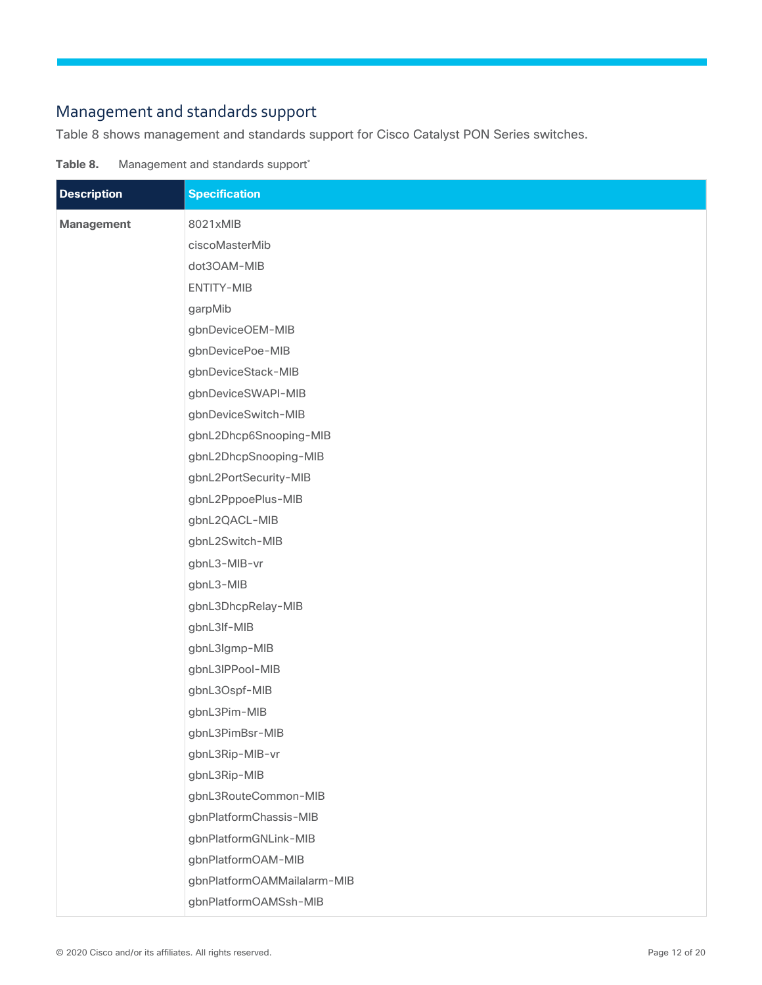## Management and standards support

Table 8 shows management and standards support for Cisco Catalyst PON Series switches.

Table 8. Management and standards support\*

| <b>Description</b> | <b>Specification</b>        |
|--------------------|-----------------------------|
| Management         | 8021xMIB                    |
|                    | ciscoMasterMib              |
|                    | dot3OAM-MIB                 |
|                    | ENTITY-MIB                  |
|                    | garpMib                     |
|                    | gbnDeviceOEM-MIB            |
|                    | gbnDevicePoe-MIB            |
|                    | gbnDeviceStack-MIB          |
|                    | gbnDeviceSWAPI-MIB          |
|                    | gbnDeviceSwitch-MIB         |
|                    | gbnL2Dhcp6Snooping-MIB      |
|                    | gbnL2DhcpSnooping-MIB       |
|                    | gbnL2PortSecurity-MIB       |
|                    | gbnL2PppoePlus-MIB          |
|                    | gbnL2QACL-MIB               |
|                    | gbnL2Switch-MIB             |
|                    | gbnL3-MIB-vr                |
|                    | gbnL3-MIB                   |
|                    | gbnL3DhcpRelay-MIB          |
|                    | gbnL3If-MIB                 |
|                    | gbnL3lgmp-MIB               |
|                    | gbnL3IPPool-MIB             |
|                    | gbnL3Ospf-MIB               |
|                    | gbnL3Pim-MIB                |
|                    | gbnL3PimBsr-MIB             |
|                    | gbnL3Rip-MIB-vr             |
|                    | gbnL3Rip-MIB                |
|                    | gbnL3RouteCommon-MIB        |
|                    | gbnPlatformChassis-MIB      |
|                    | gbnPlatformGNLink-MIB       |
|                    | gbnPlatformOAM-MIB          |
|                    | gbnPlatformOAMMailalarm-MIB |
|                    | gbnPlatformOAMSsh-MIB       |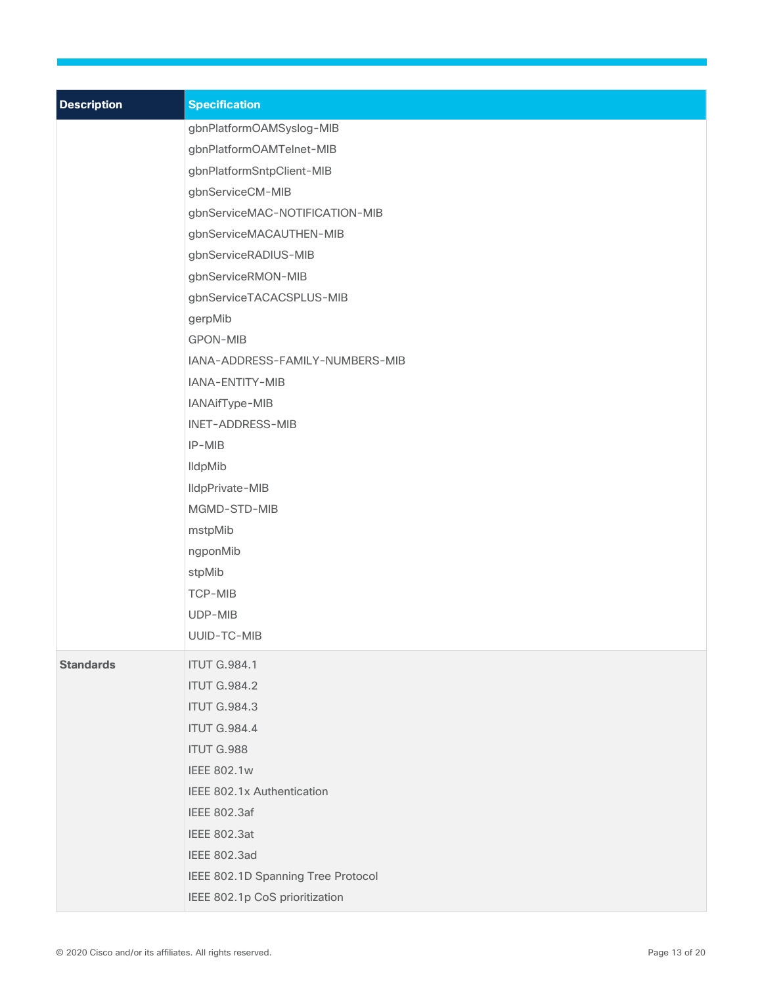| <b>Description</b> | <b>Specification</b>               |
|--------------------|------------------------------------|
|                    | gbnPlatformOAMSyslog-MIB           |
|                    | gbnPlatformOAMTelnet-MIB           |
|                    | gbnPlatformSntpClient-MIB          |
|                    | gbnServiceCM-MIB                   |
|                    | gbnServiceMAC-NOTIFICATION-MIB     |
|                    | gbnServiceMACAUTHEN-MIB            |
|                    | gbnServiceRADIUS-MIB               |
|                    | gbnServiceRMON-MIB                 |
|                    | gbnServiceTACACSPLUS-MIB           |
|                    | gerpMib                            |
|                    | <b>GPON-MIB</b>                    |
|                    | IANA-ADDRESS-FAMILY-NUMBERS-MIB    |
|                    | IANA-ENTITY-MIB                    |
|                    | IANAifType-MIB                     |
|                    | INET-ADDRESS-MIB                   |
|                    | IP-MIB                             |
|                    | <b>IldpMib</b>                     |
|                    | IldpPrivate-MIB                    |
|                    | MGMD-STD-MIB                       |
|                    | mstpMib                            |
|                    | ngponMib                           |
|                    | stpMib                             |
|                    | <b>TCP-MIB</b>                     |
|                    | UDP-MIB                            |
|                    | UUID-TC-MIB                        |
| <b>Standards</b>   | <b>ITUT G.984.1</b>                |
|                    | <b>ITUT G.984.2</b>                |
|                    | <b>ITUT G.984.3</b>                |
|                    | <b>ITUT G.984.4</b>                |
|                    | <b>ITUT G.988</b>                  |
|                    | <b>IEEE 802.1w</b>                 |
|                    | IEEE 802.1x Authentication         |
|                    | <b>IEEE 802.3af</b>                |
|                    | <b>IEEE 802.3at</b>                |
|                    | <b>IEEE 802.3ad</b>                |
|                    | IEEE 802.1D Spanning Tree Protocol |
|                    | IEEE 802.1p CoS prioritization     |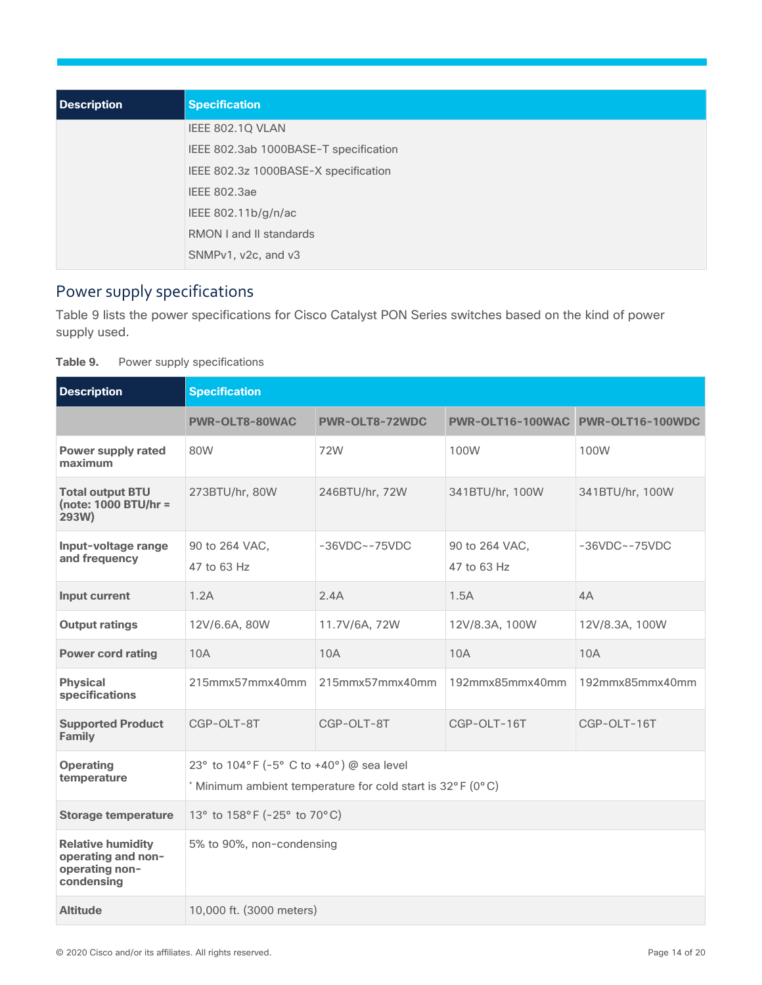| Description | <b>Specification</b>                  |
|-------------|---------------------------------------|
|             | IEEE 802.1Q VLAN                      |
|             | IEEE 802.3ab 1000BASE-T specification |
|             | IEEE 802.3z 1000BASE-X specification  |
|             | <b>IEEE 802.3ae</b>                   |
|             | IEEE 802.11b/g/n/ac                   |
|             | <b>RMON I and II standards</b>        |
|             | SNMPv1, v2c, and v3                   |

## Power supply specifications

Table 9 lists the power specifications for Cisco Catalyst PON Series switches based on the kind of power supply used.

| Table 9. |  | Power supply specifications |
|----------|--|-----------------------------|
|----------|--|-----------------------------|

| <b>Description</b>                                                             | <b>Specification</b>                                                                                 |                   |                                   |                   |  |  |  |  |  |  |
|--------------------------------------------------------------------------------|------------------------------------------------------------------------------------------------------|-------------------|-----------------------------------|-------------------|--|--|--|--|--|--|
|                                                                                | PWR-OLT8-80WAC                                                                                       | PWR-OLT8-72WDC    | PWR-OLT16-100WAC PWR-OLT16-100WDC |                   |  |  |  |  |  |  |
| <b>Power supply rated</b><br>maximum                                           | 80W                                                                                                  | 72W               | 100W                              | 100W              |  |  |  |  |  |  |
| <b>Total output BTU</b><br>(note: 1000 BTU/hr =<br>293W)                       | 273BTU/hr, 80W                                                                                       | 246BTU/hr, 72W    | 341BTU/hr, 100W                   | 341BTU/hr, 100W   |  |  |  |  |  |  |
| Input-voltage range<br>and frequency                                           | 90 to 264 VAC,<br>47 to 63 Hz                                                                        | $-36VDC - -75VDC$ | 90 to 264 VAC,<br>47 to 63 Hz     | $-36VDC - -75VDC$ |  |  |  |  |  |  |
| Input current                                                                  | 1.2A                                                                                                 | 2.4A              | 1.5A                              | 4A                |  |  |  |  |  |  |
| <b>Output ratings</b>                                                          | 12V/6.6A, 80W                                                                                        | 11.7V/6A, 72W     | 12V/8.3A, 100W                    | 12V/8.3A, 100W    |  |  |  |  |  |  |
| <b>Power cord rating</b>                                                       | 10A                                                                                                  | 10A               | 10A                               | 10A               |  |  |  |  |  |  |
| <b>Physical</b><br>specifications                                              | 215mmx57mmx40mm                                                                                      | 215mmx57mmx40mm   | 192mmx85mmx40mm                   | 192mmx85mmx40mm   |  |  |  |  |  |  |
| <b>Supported Product</b><br><b>Family</b>                                      | CGP-OLT-8T                                                                                           | CGP-OLT-8T        | CGP-OLT-16T                       | CGP-OLT-16T       |  |  |  |  |  |  |
| <b>Operating</b><br>temperature                                                | 23° to 104°F (-5° C to +40°) @ sea level<br>Minimum ambient temperature for cold start is 32°F (0°C) |                   |                                   |                   |  |  |  |  |  |  |
| <b>Storage temperature</b>                                                     | 13° to 158°F (-25° to 70°C)                                                                          |                   |                                   |                   |  |  |  |  |  |  |
| <b>Relative humidity</b><br>operating and non-<br>operating non-<br>condensing | 5% to 90%, non-condensing                                                                            |                   |                                   |                   |  |  |  |  |  |  |
| <b>Altitude</b>                                                                | 10,000 ft. (3000 meters)                                                                             |                   |                                   |                   |  |  |  |  |  |  |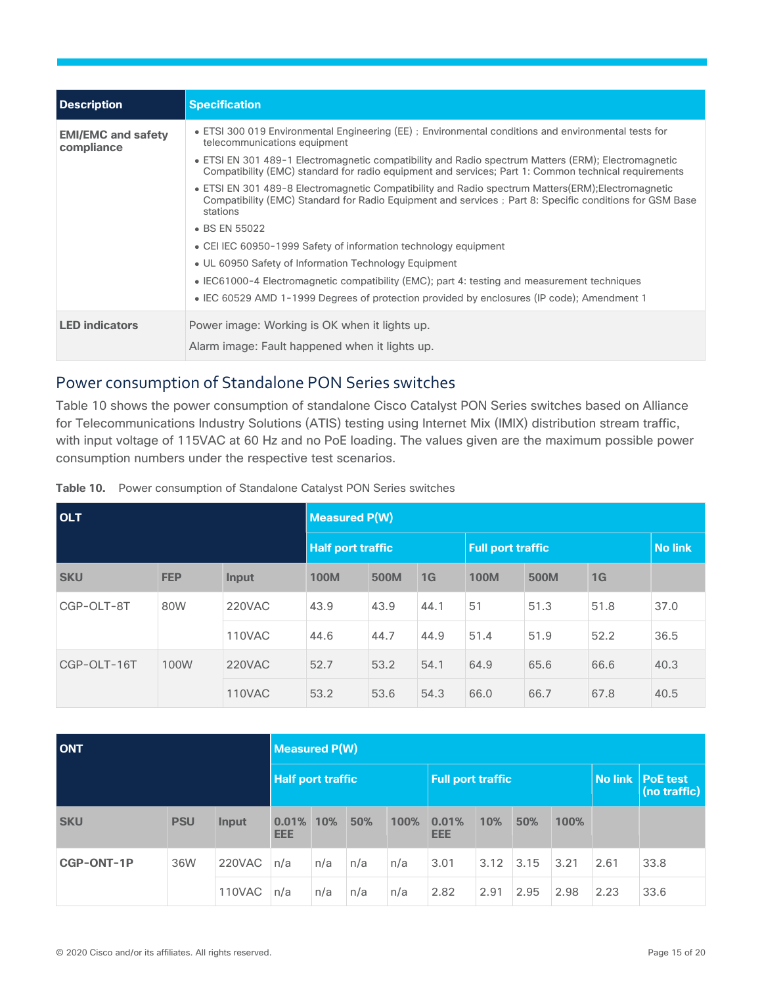| <b>Description</b>                      | <b>Specification</b>                                                                                                                                                                                                       |
|-----------------------------------------|----------------------------------------------------------------------------------------------------------------------------------------------------------------------------------------------------------------------------|
| <b>EMI/EMC and safety</b><br>compliance | • ETSI 300 019 Environmental Engineering (EE); Environmental conditions and environmental tests for<br>telecommunications equipment                                                                                        |
|                                         | • ETSI EN 301 489-1 Electromagnetic compatibility and Radio spectrum Matters (ERM); Electromagnetic<br>Compatibility (EMC) standard for radio equipment and services; Part 1: Common technical requirements                |
|                                         | • ETSI EN 301 489-8 Electromagnetic Compatibility and Radio spectrum Matters(ERM); Electromagnetic<br>Compatibility (EMC) Standard for Radio Equipment and services : Part 8: Specific conditions for GSM Base<br>stations |
|                                         | • BS EN 55022                                                                                                                                                                                                              |
|                                         | • CEI IEC 60950-1999 Safety of information technology equipment                                                                                                                                                            |
|                                         | • UL 60950 Safety of Information Technology Equipment                                                                                                                                                                      |
|                                         | • IEC61000-4 Electromagnetic compatibility (EMC); part 4: testing and measurement techniques                                                                                                                               |
|                                         | • IEC 60529 AMD 1-1999 Degrees of protection provided by enclosures (IP code); Amendment 1                                                                                                                                 |
| <b>LED</b> indicators                   | Power image: Working is OK when it lights up.                                                                                                                                                                              |
|                                         | Alarm image: Fault happened when it lights up.                                                                                                                                                                             |

## Power consumption of Standalone PON Series switches

Table 10 shows the power consumption of standalone Cisco Catalyst PON Series switches based on Alliance for Telecommunications Industry Solutions (ATIS) testing using Internet Mix (IMIX) distribution stream traffic, with input voltage of 115VAC at 60 Hz and no PoE loading. The values given are the maximum possible power consumption numbers under the respective test scenarios.

| <b>OLT</b>        |            | <b>Measured P(W)</b> |                          |      |      |                          |                |      |      |  |
|-------------------|------------|----------------------|--------------------------|------|------|--------------------------|----------------|------|------|--|
|                   |            |                      | <b>Half port traffic</b> |      |      | <b>Full port traffic</b> | <b>No link</b> |      |      |  |
| <b>SKU</b>        | <b>FEP</b> | Input                | <b>100M</b>              | 500M | 1G   | <b>100M</b>              | 500M           | 1G   |      |  |
| CGP-OLT-8T<br>80W |            | 220VAC               | 43.9                     | 43.9 | 44.1 | 51                       | 51.3           | 51.8 | 37.0 |  |
|                   |            | 110VAC               | 44.6                     | 44.7 | 44.9 | 51.4                     | 51.9           | 52.2 | 36.5 |  |
| CGP-OLT-16T       | 100W       | 220VAC               | 52.7                     | 53.2 | 54.1 | 64.9                     | 65.6           | 66.6 | 40.3 |  |
|                   |            | <b>110VAC</b>        | 53.2                     | 53.6 | 54.3 | 66.0                     | 66.7           | 67.8 | 40.5 |  |

**Table 10.** Power consumption of Standalone Catalyst PON Series switches

| <b>ONT</b>        |            | <b>Measured P(W)</b>     |                     |     |     |                          |                     |      |      |      |                                    |      |
|-------------------|------------|--------------------------|---------------------|-----|-----|--------------------------|---------------------|------|------|------|------------------------------------|------|
|                   |            | <b>Half port traffic</b> |                     |     |     | <b>Full port traffic</b> |                     |      |      |      | No link   PoE test<br>(no traffic) |      |
| <b>SKU</b>        | <b>PSU</b> | Input                    | 0.01%<br><b>EEE</b> | 10% | 50% | 100%                     | 0.01%<br><b>EEE</b> | 10%  | 50%  | 100% |                                    |      |
| <b>CGP-ONT-1P</b> | 36W        | 220VAC                   | n/a                 | n/a | n/a | n/a                      | 3.01                | 3.12 | 3.15 | 3.21 | 2.61                               | 33.8 |
|                   |            | 110VAC                   | n/a                 | n/a | n/a | n/a                      | 2.82                | 2.91 | 2.95 | 2.98 | 2.23                               | 33.6 |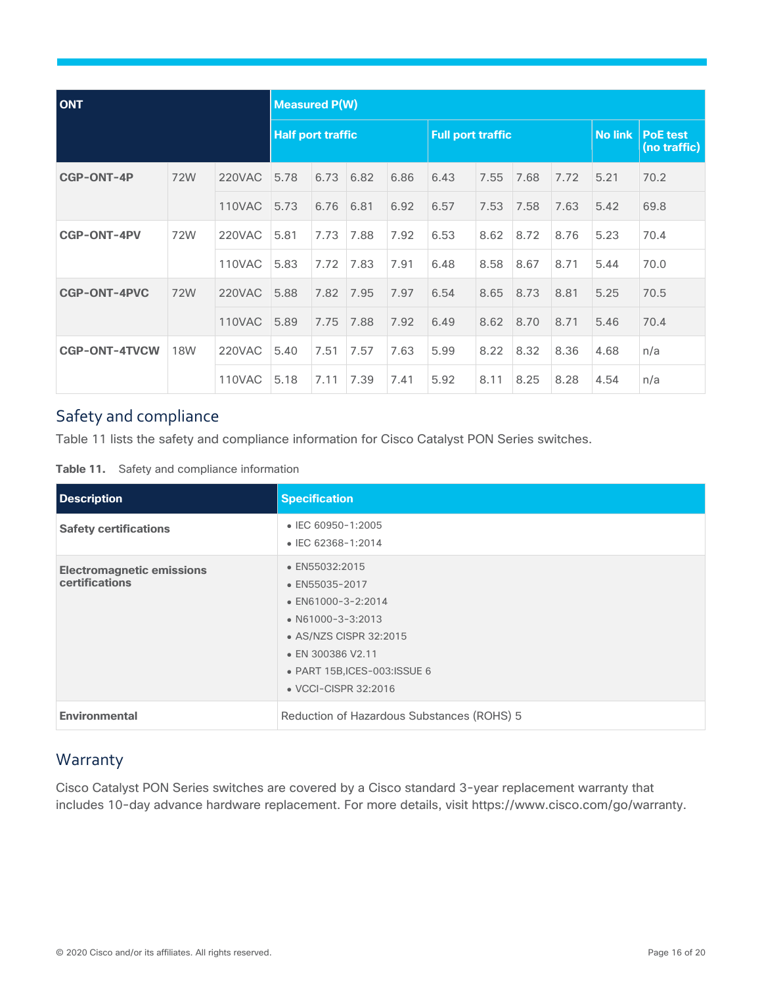| <b>ONT</b>           |            | <b>Measured P(W)</b>     |      |      |      |                          |      |      |      |                |                                 |      |
|----------------------|------------|--------------------------|------|------|------|--------------------------|------|------|------|----------------|---------------------------------|------|
|                      |            | <b>Half port traffic</b> |      |      |      | <b>Full port traffic</b> |      |      |      | <b>No link</b> | <b>PoE test</b><br>(no traffic) |      |
| <b>CGP-ONT-4P</b>    | 72W        | <b>220VAC</b>            | 5.78 | 6.73 | 6.82 | 6.86                     | 6.43 | 7.55 | 7.68 | 7.72           | 5.21                            | 70.2 |
|                      |            | <b>110VAC</b>            | 5.73 | 6.76 | 6.81 | 6.92                     | 6.57 | 7.53 | 7.58 | 7.63           | 5.42                            | 69.8 |
| <b>CGP-ONT-4PV</b>   | 72W        | <b>220VAC</b>            | 5.81 | 7.73 | 7.88 | 7.92                     | 6.53 | 8.62 | 8.72 | 8.76           | 5.23                            | 70.4 |
|                      |            | 110VAC                   | 5.83 | 7.72 | 7.83 | 7.91                     | 6.48 | 8.58 | 8.67 | 8.71           | 5.44                            | 70.0 |
| <b>CGP-ONT-4PVC</b>  | 72W        | <b>220VAC</b>            | 5.88 | 7.82 | 7.95 | 7.97                     | 6.54 | 8.65 | 8.73 | 8.81           | 5.25                            | 70.5 |
|                      |            | 110VAC                   | 5.89 | 7.75 | 7.88 | 7.92                     | 6.49 | 8.62 | 8.70 | 8.71           | 5.46                            | 70.4 |
| <b>CGP-ONT-4TVCW</b> | <b>18W</b> | <b>220VAC</b>            | 5.40 | 7.51 | 7.57 | 7.63                     | 5.99 | 8.22 | 8.32 | 8.36           | 4.68                            | n/a  |
|                      |            | 110VAC                   | 5.18 | 7.11 | 7.39 | 7.41                     | 5.92 | 8.11 | 8.25 | 8.28           | 4.54                            | n/a  |

## Safety and compliance

Table 11 lists the safety and compliance information for Cisco Catalyst PON Series switches.

| Table 11. | Safety and compliance information |  |
|-----------|-----------------------------------|--|
|           |                                   |  |

| <b>Description</b>                                 | <b>Specification</b>                                                                                                                                                                              |  |
|----------------------------------------------------|---------------------------------------------------------------------------------------------------------------------------------------------------------------------------------------------------|--|
| <b>Safety certifications</b>                       | • IEC 60950-1:2005<br>• IEC 62368-1:2014                                                                                                                                                          |  |
| <b>Electromagnetic emissions</b><br>certifications | • EN55032:2015<br>• EN55035-2017<br>$\bullet$ EN61000-3-2:2014<br>• $N61000 - 3 - 3:2013$<br>• AS/NZS CISPR 32:2015<br>• EN 300386 V2.11<br>• PART 15B, ICES-003: ISSUE 6<br>• VCCI-CISPR 32:2016 |  |
| <b>Environmental</b>                               | Reduction of Hazardous Substances (ROHS) 5                                                                                                                                                        |  |

## <span id="page-15-0"></span>**Warranty**

Cisco Catalyst PON Series switches are covered by a Cisco standard 3-year replacement warranty that includes 10-day advance hardware replacement. For more details, visit https://www.cisco.com/go/warranty.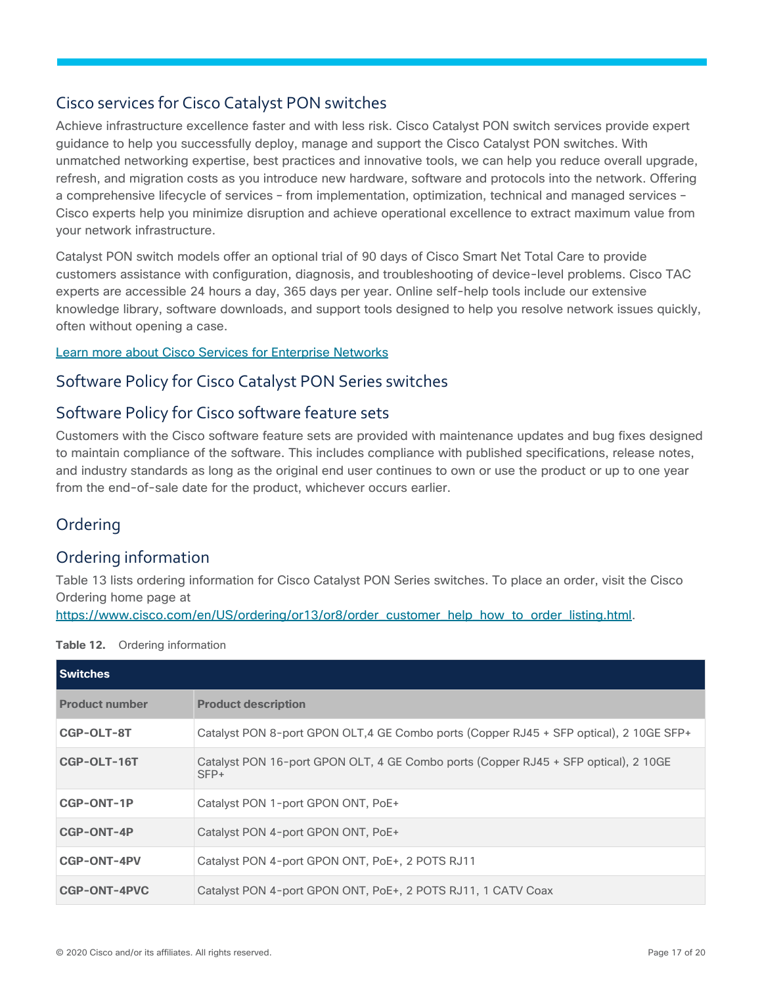## Cisco services for Cisco Catalyst PON switches

Achieve infrastructure excellence faster and with less risk. Cisco Catalyst PON switch services provide expert guidance to help you successfully deploy, manage and support the Cisco Catalyst PON switches. With unmatched networking expertise, best practices and innovative tools, we can help you reduce overall upgrade, refresh, and migration costs as you introduce new hardware, software and protocols into the network. Offering a comprehensive lifecycle of services – from implementation, optimization, technical and managed services – Cisco experts help you minimize disruption and achieve operational excellence to extract maximum value from your network infrastructure.

Catalyst PON switch models offer an optional trial of 90 days of Cisco Smart Net Total Care to provide customers assistance with configuration, diagnosis, and troubleshooting of device-level problems. Cisco TAC experts are accessible 24 hours a day, 365 days per year. Online self-help tools include our extensive knowledge library, software downloads, and support tools designed to help you resolve network issues quickly, often without opening a case.

#### [Learn more about Cisco Services for Enterprise](https://www.cisco.com/c/en/us/solutions/enterprise-networks/service-listing.html) Networks

#### Software Policy for Cisco Catalyst PON Series switches

## Software Policy for Cisco software feature sets

Customers with the Cisco software feature sets are provided with maintenance updates and bug fixes designed to maintain compliance of the software. This includes compliance with published specifications, release notes, and industry standards as long as the original end user continues to own or use the product or up to one year from the end-of-sale date for the product, whichever occurs earlier.

## <span id="page-16-0"></span>**Ordering**

## Ordering information

Table 13 lists ordering information for Cisco Catalyst PON Series switches. To place an order, visit the Cisco Ordering home page at

[https://www.cisco.com/en/US/ordering/or13/or8/order\\_customer\\_help\\_how\\_to\\_order\\_listing.html.](https://cisco-router-switch-firewall.com/cisco/switches/catalyst-pon-series/)

| <b>Switches</b>       |                                                                                               |
|-----------------------|-----------------------------------------------------------------------------------------------|
| <b>Product number</b> | <b>Product description</b>                                                                    |
| CGP-OLT-8T            | Catalyst PON 8-port GPON OLT, 4 GE Combo ports (Copper RJ45 + SFP optical), 2 10GE SFP+       |
| CGP-OLT-16T           | Catalyst PON 16-port GPON OLT, 4 GE Combo ports (Copper RJ45 + SFP optical), 2 10GE<br>$SFP+$ |
| CGP-ONT-1P            | Catalyst PON 1-port GPON ONT, PoE+                                                            |
| <b>CGP-ONT-4P</b>     | Catalyst PON 4-port GPON ONT, PoE+                                                            |
| <b>CGP-ONT-4PV</b>    | Catalyst PON 4-port GPON ONT, PoE+, 2 POTS RJ11                                               |
| CGP-ONT-4PVC          | Catalyst PON 4-port GPON ONT, PoE+, 2 POTS RJ11, 1 CATV Coax                                  |

**Table 12.** Ordering information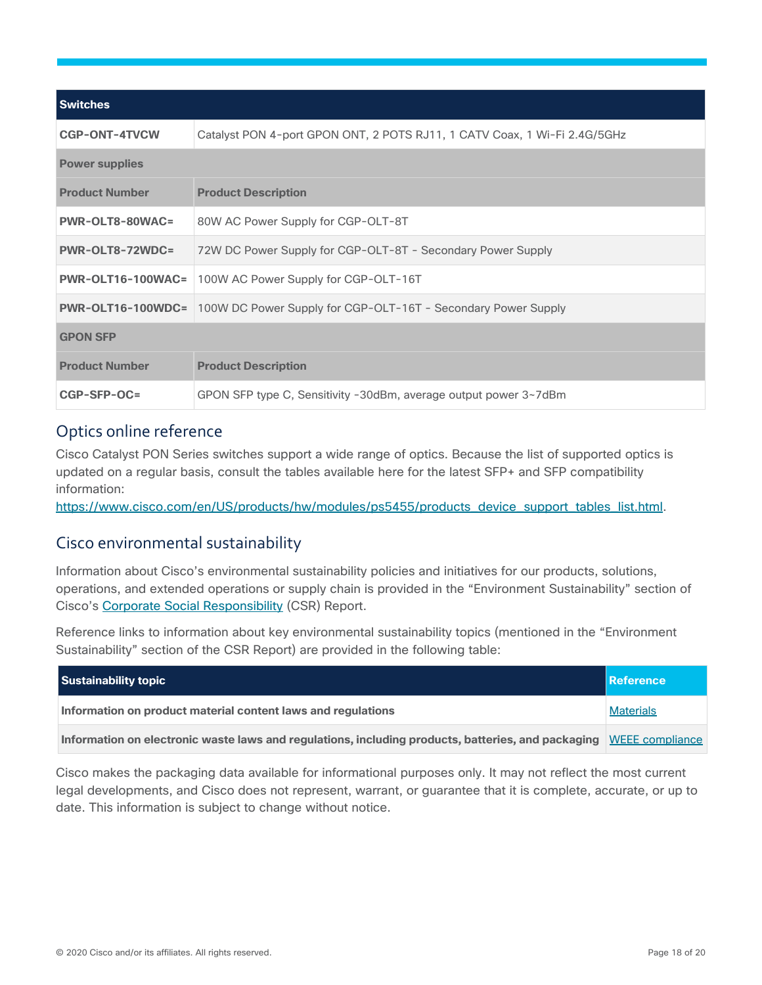| <b>Switches</b>        |                                                                                        |  |
|------------------------|----------------------------------------------------------------------------------------|--|
| <b>CGP-ONT-4TVCW</b>   | Catalyst PON 4-port GPON ONT, 2 POTS RJ11, 1 CATV Coax, 1 Wi-Fi 2.4G/5GHz              |  |
| <b>Power supplies</b>  |                                                                                        |  |
| <b>Product Number</b>  | <b>Product Description</b>                                                             |  |
| <b>PWR-OLT8-80WAC=</b> | 80W AC Power Supply for CGP-OLT-8T                                                     |  |
| PWR-OLT8-72WDC=        | 72W DC Power Supply for CGP-OLT-8T - Secondary Power Supply                            |  |
| PWR-OLT16-100WAC=      | 100W AC Power Supply for CGP-OLT-16T                                                   |  |
|                        | <b>PWR-OLT16-100WDC=</b> 100W DC Power Supply for CGP-OLT-16T - Secondary Power Supply |  |
| <b>GPON SFP</b>        |                                                                                        |  |
| <b>Product Number</b>  | <b>Product Description</b>                                                             |  |
| CGP-SFP-OC=            | GPON SFP type C, Sensitivity -30dBm, average output power 3~7dBm                       |  |

## Optics online reference

Cisco Catalyst PON Series switches support a wide range of optics. Because the list of supported optics is updated on a regular basis, consult the tables available here for the latest SFP+ and SFP compatibility information:

[https://www.cisco.com/en/US/products/hw/modules/ps5455/products\\_device\\_support\\_tables\\_list.html.](https://www.cisco.com/en/US/products/hw/modules/ps5455/products_device_support_tables_list.html)

#### <span id="page-17-0"></span>Cisco environmental sustainability

Information about Cisco's environmental sustainability policies and initiatives for our products, solutions, operations, and extended operations or supply chain is provided in the "Environment Sustainability" section of Cisco's [Corporate Social Responsibility](https://www-1.compliance2product.com/c2p/getAttachment.do?code=YM6Y0yThdO6Wj1FxxYPYfUG2dtFkTeFWGpzLRO8tcURFEifUCRV403Tq2ZMWP6Ai) (CSR) Report.

Reference links to information about key environmental sustainability topics (mentioned in the "Environment Sustainability" section of the CSR Report) are provided in the following table:

| Sustainability topic                                                                                               | Reference        |
|--------------------------------------------------------------------------------------------------------------------|------------------|
| Information on product material content laws and regulations                                                       | <b>Materials</b> |
| Information on electronic waste laws and regulations, including products, batteries, and packaging WEEE compliance |                  |

Cisco makes the packaging data available for informational purposes only. It may not reflect the most current legal developments, and Cisco does not represent, warrant, or guarantee that it is complete, accurate, or up to date. This information is subject to change without notice.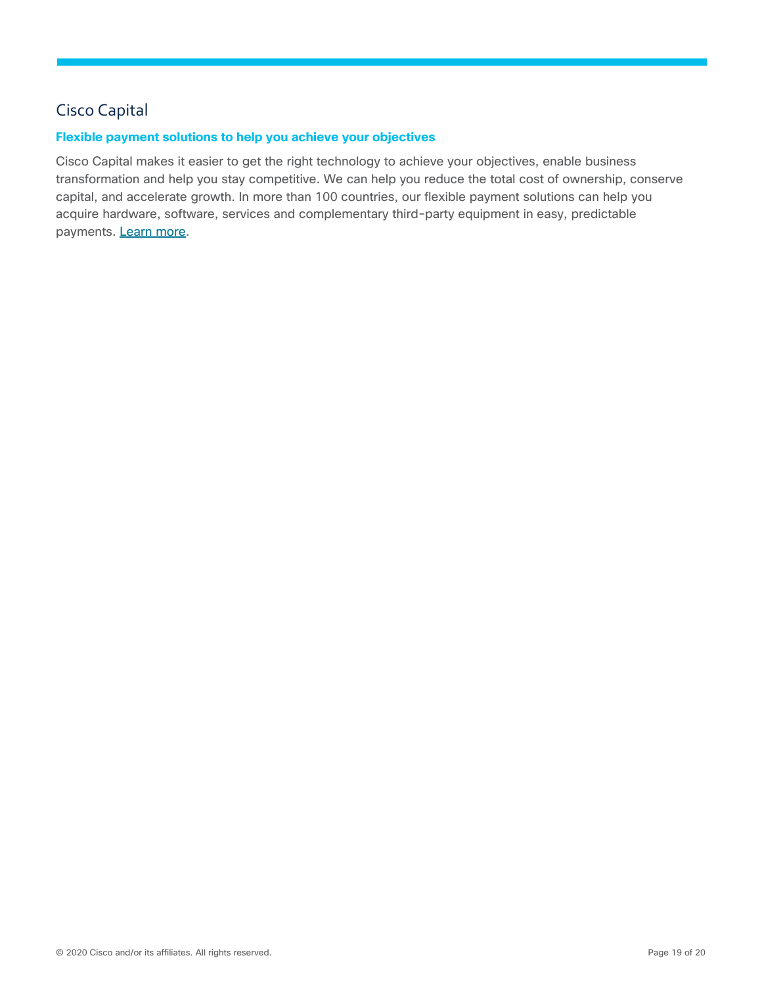## <span id="page-18-0"></span>Cisco Capital

#### **Flexible payment solutions to help you achieve your objectives**

Cisco Capital makes it easier to get the right technology to achieve your objectives, enable business transformation and help you stay competitive. We can help you reduce the total cost of ownership, conserve capital, and accelerate growth. In more than 100 countries, our flexible payment solutions can help you acquire hardware, software, services and complementary third-party equipment in easy, predictable payments. [Learn more.](https://www.cisco.com/go/financing)